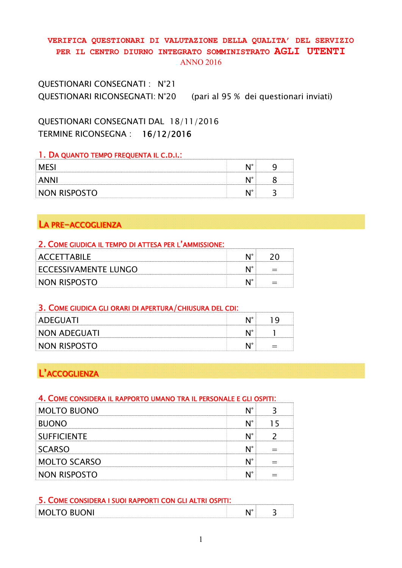### VERIFICA QUESTIONARI DI VALUTAZIONE DELLA QUALITA' DEL SERVIZIO PER IL CENTRO DIURNO INTEGRATO SOMMINISTRATO AGLI UTENTI ANNO 2016

QUESTIONARI CONSEGNATI : N°21 QUESTIONARI RICONSEGNATI: N°20 (pari al 95 % dei questionari inviati)

QUESTIONARI CONSEGNATI DAL 18/11/2016 TERMINE RICONSEGNA : 16/12/2016

#### 1. DA QUANTO TEMPO FREQUENTA IL C.D.I.:

|                              | .    |  |
|------------------------------|------|--|
|                              | ⊾ ∎о |  |
| יו או זעריו<br>- INL<br>1171 | - 10 |  |

# LA PRE-ACCOGLIENZA

#### 2. COME GIUDICA IL TEMPO DI ATTESA PER L'AMMISSIONE:

| ACCEITARILE                 |   |
|-----------------------------|---|
| <b>ECCESSIVAMENTE LUNGO</b> | — |
| NON RISPOSTO                |   |

### 3. COME GIUDICA GLI ORARI DI APERTURA/CHIUSURA DEL CDI:

| <br>ADEGUATI |     |
|--------------|-----|
| NON ADEGUATI |     |
| Non Risposto | $=$ |

# L'ACCOGLIENZA

#### 4. COME CONSIDERA IL RAPPORTO UMANO TRA IL PERSONALE E GLI OSPITI:

| <b>MOLTO BUONO</b>  |  |
|---------------------|--|
| <b>BUONO</b>        |  |
| <b>SUFFICIENTE</b>  |  |
| <b>SCARSO</b>       |  |
| <b>MOLTO SCARSO</b> |  |
| <b>NON RISPOSTO</b> |  |

| 5. COME CONSIDERA I SUOI RAPPORTI CON GLI ALTRI C |  |
|---------------------------------------------------|--|
|                                                   |  |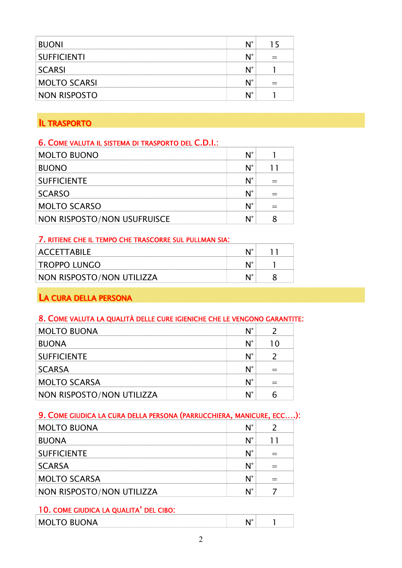| <b>SUFFICIENTI</b> |  |
|--------------------|--|
| SCARSI             |  |
| <b>OLTO SCARS</b>  |  |
| <b>DN RISPOSTO</b> |  |

# **IL TRASPORTO**

### 6. COME VALUTA IL SISTEMA DI TRASPORTO DEL C.D.I.:

| <b>MOLTO BUONO</b>          |  |
|-----------------------------|--|
| <b>BUONO</b>                |  |
| <b>SUFFICIENTE</b>          |  |
| SCARSO                      |  |
| <b>MOLTO SCARSO</b>         |  |
| NON RISPOSTO/NON USUFRUISCE |  |

### 7. RITIENE CHE IL TEMPO CHE TRASCORRE SUL PULLMAN SIA:

| ACCETTARILE               |  |
|---------------------------|--|
| <b>TROPPO LUNGO</b>       |  |
| NON RISPOSTO/NON UTILIZZA |  |
|                           |  |

# LA CURA DELLA PERSONA

### 8. COME VALUTA LA QUALITÀ DELLE CURE IGIENICHE CHE LE VENGONO GARANTITE:

| <b>MOLTO BUONA</b>        |  |
|---------------------------|--|
| <b>BUONA</b>              |  |
| <b>SUFFICIENTE</b>        |  |
| <b>SCARSA</b>             |  |
| <b>MOLTO SCARSA</b>       |  |
| NON RISPOSTO/NON UTILIZZA |  |

## 9. COME GIUDICA LA CURA DELLA PERSONA (PARRUCCHIERA, MANICURE, ECC….):

| <b>MOLTO BUONA</b>        |  |
|---------------------------|--|
| <b>BUONA</b>              |  |
| <b>SUFFICIENTE</b>        |  |
| <b>SCARSA</b>             |  |
| <b>MOLTO SCARSA</b>       |  |
| NON RISPOSTO/NON UTILIZZA |  |

# 10. COME GIUDICA LA QUALITA' DEL CIBO:

| n<br>$\check{~}$<br>.<br>.<br>-<br>- -<br>- | $\overline{10}$ |  |
|---------------------------------------------|-----------------|--|
|                                             |                 |  |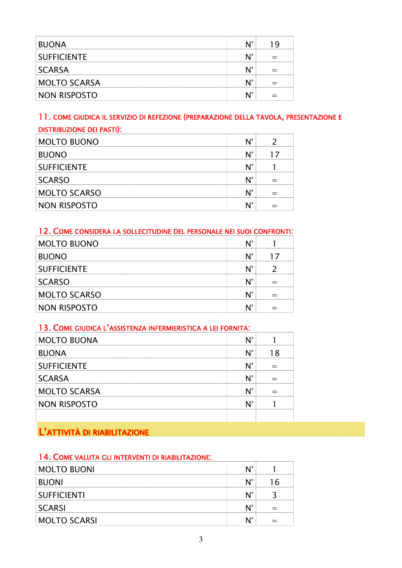| <b>BUONA</b>        |  |
|---------------------|--|
| <b>SUFFICIENTE</b>  |  |
| SCARSA              |  |
| <b>MOLTO SCARSA</b> |  |
| NON RISPOSTO        |  |

### 11. COME GIUDICA IL SERVIZIO DI REFEZIONE (PREPARAZIONE DELLA TAVOLA, PRESENTAZIONE E DISTRIBUZIONE DEI PASTI):

| <b>MOLTO BUONO</b>  |  |
|---------------------|--|
| <b>BUONO</b>        |  |
| <b>SUFFICIENTE</b>  |  |
| <b>SCARSO</b>       |  |
| <b>MOLTO SCARSO</b> |  |
| <b>NON RISPOSTO</b> |  |

### 12. COME CONSIDERA LA SOLLECITUDINE DEL PERSONALE NEI SUOI CONFRONTI:

| <b>MOLTO BUONO</b>  |  |
|---------------------|--|
| <b>BUONO</b>        |  |
| <b>SUFFICIENTE</b>  |  |
| SCARSO              |  |
| <b>MOLTO SCARSO</b> |  |
| ION RISPOSTO        |  |

### 13. COME GIUDICA L'ASSISTENZA INFERMIERISTICA A LEI FORNITA:

| IOLTO BUONA         |  |
|---------------------|--|
| <b>BUONA</b>        |  |
| <b>SUFFICIENTE</b>  |  |
| <b>SCARSA</b>       |  |
| <b>MOLTO SCARSA</b> |  |
| <b>NON RISPOSTO</b> |  |
|                     |  |

# L'ATTIVITÀ DI RIABILITAZIONE

### 14. COME VALUTA GLI INTERVENTI DI RIABILITAZIONE:

| <b>MOLTO BUONI</b> |  |
|--------------------|--|
| <b>BUONI</b>       |  |
| SUFFICIENTI        |  |
| SCARSI             |  |
| MOLTO SCARSI       |  |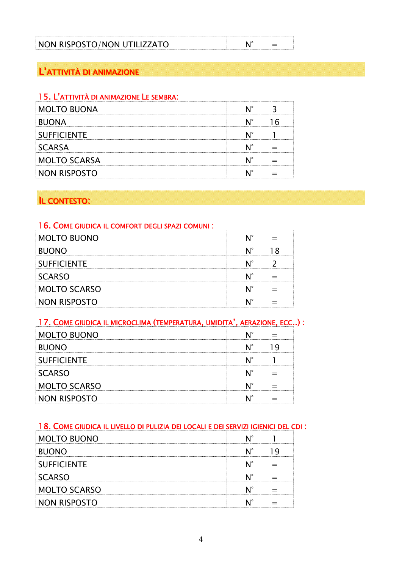| NON RISPOSTO/NON UTILIZZATO |  |  |
|-----------------------------|--|--|
|                             |  |  |

# L'ATTIVITÀ DI ANIMAZIONE

## 15. L'ATTIVITÀ DI ANIMAZIONE LE SEMBRA:

| <b>MOLTO BUONA</b>  |  |
|---------------------|--|
| <b>BUONA</b>        |  |
| <b>SUFFICIENTE</b>  |  |
| <b>SCARSA</b>       |  |
| <b>MOLTO SCARSA</b> |  |
| NON RISPOSTO        |  |

# IL CONTESTO:

### 16. COME GIUDICA IL COMFORT DEGLI SPAZI COMUNI :

| <b>MOLTO BUONO</b>  |  |
|---------------------|--|
| <b>BUONO</b>        |  |
| <b>SUFFICIENTE</b>  |  |
| <b>SCARSO</b>       |  |
| <b>MOLTO SCARSO</b> |  |
| <b>NON RISPOSTO</b> |  |

# 17. COME GIUDICA IL MICROCLIMA (TEMPERATURA, UMIDITA', AERAZIONE, ECC..) :

| <b>MOLTO BUONO</b>  |  |
|---------------------|--|
| <b>BUONO</b>        |  |
| <b>SUFFICIENTE</b>  |  |
| SCARSO              |  |
| <b>MOLTO SCARSO</b> |  |
| <b>NON RISPOSTO</b> |  |

# 18. COME GIUDICA IL LIVELLO DI PULIZIA DEI LOCALI E DEI SERVIZI IGIENICI DEL CDI :

| <b>IOLTO BUONO</b>  |  |
|---------------------|--|
| <b>BUONO</b>        |  |
| <b>SUFFICIENTE</b>  |  |
| SCARSO              |  |
| <b>MOLTO SCARSO</b> |  |
| NON RISPOSTO        |  |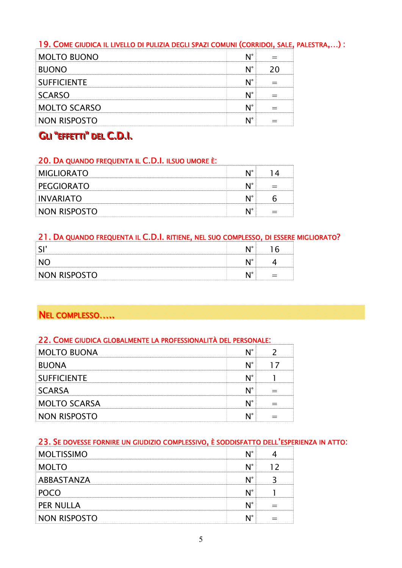# 19. COME GIUDICA IL LIVELLO DI PULIZIA DEGLI SPAZI COMUNI (CORRIDOI, SALE, PALESTRA,…) :

| <b>MOLTO BUONO</b>  |  |
|---------------------|--|
| <b>BUONO</b>        |  |
| <b>SUFFICIENTE</b>  |  |
| <b>SCARSO</b>       |  |
| <b>MOLTO SCARSO</b> |  |
| NON RISPOSTO        |  |

# GU "EFFETTI" DEL C.D.I.

### 20. DA QUANDO FREQUENTA IL C.D.I. ILSUO UMORE È:

| <b>MIGLIORATO</b> |  |
|-------------------|--|
| PEGGIORATO        |  |
| INVARIATO         |  |
| NON RISPOSTO      |  |

### 21. DA QUANDO FREQUENTA IL C.D.I. RITIENE, NEL SUO COMPLESSO, DI ESSERE MIGLIORATO?

| NON RISPOSTO<br> |  |
|------------------|--|

# NEL COMPLESSO.....

### 22. COME GIUDICA GLOBALMENTE LA PROFESSIONALITÀ DEL PERSONALE:

| <b>MOLTO BUONA</b>  |  |
|---------------------|--|
| <b>BUONA</b>        |  |
| <b>SUFFICIENTE</b>  |  |
| <b>SCARSA</b>       |  |
| <b>MOLTO SCARSA</b> |  |
| NON RISPOSTO        |  |

# 23. SE DOVESSE FORNIRE UN GIUDIZIO COMPLESSIVO, È SODDISFATTO DELL'ESPERIENZA IN ATTO:

| <b>MOLTISSIMO</b>   |  |
|---------------------|--|
| <b>MOLTO</b>        |  |
| ABBASTANZA          |  |
|                     |  |
| PER NULLA           |  |
| <b>NON RISPOSTO</b> |  |